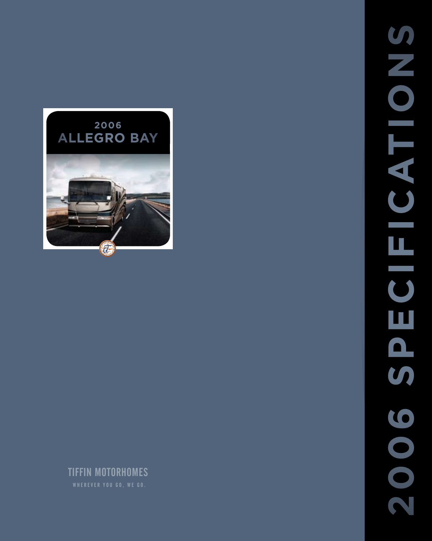

TIFFIN MOTORHOMES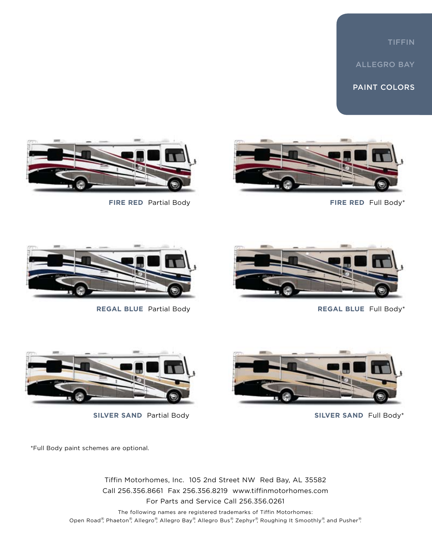# TIFFIN

ALLEGRO BAY

PAINT COLORS





**fire red** Partial Body **FIRE RED** Full Body\*





**regal blue** Partial Body **regal blue** Full Body\*





**silver sand** Partial Body **silver sand** Full Body\*

\*Full Body paint schemes are optional.

Tiffin Motorhomes, Inc. 105 2nd Street NW Red Bay, AL 35582 Call 256.356.8661 Fax 256.356.8219 www.tiffinmotorhomes.com For Parts and Service Call 256.356.0261

The following names are registered trademarks of Tiffin Motorhomes: Open Road®, Phaeton®, Allegro®, Allegro Bay®, Allegro Bus®, Zephyr®, Roughing It Smoothly®, and Pusher®.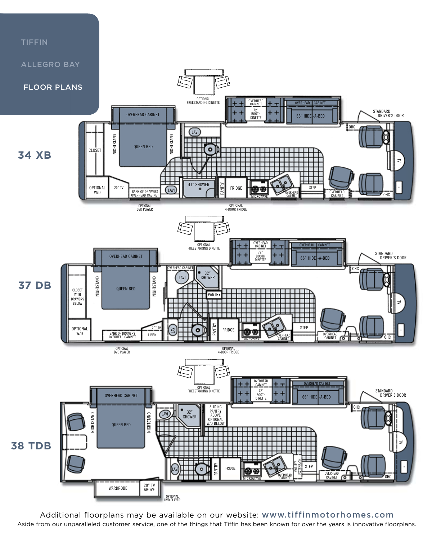

Aside from our unparalleled customer service, one of the things that Tiffin has been known for over the years is innovative floorplans. Additional floorplans may be available on our website: www.tiffinmotorhomes.com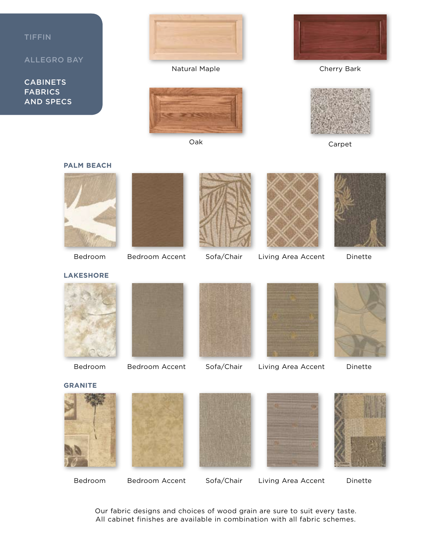





**Lakeshore**

**Palm beach**







Bedroom Bedroom Accent Sofa/Chair Living Area Accent Dinette



Bedroom Bedroom Accent Sofa/Chair Living Area Accent Dinette



Bedroom Bedroom Accent Sofa/Chair Living Area Accent Dinette

Our fabric designs and choices of wood grain are sure to suit every taste. All cabinet finishes are available in combination with all fabric schemes.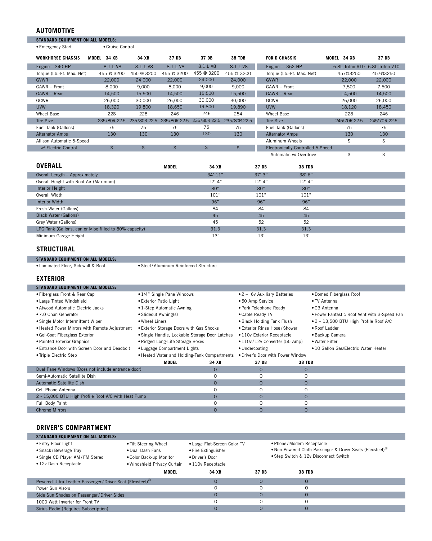### **AUTOMOTIVE**

ı

I

| <b>STANDARD EQUIPMENT ON ALL MODELS:</b> |                  |            |                           |              |               |                                   |                |                                 |
|------------------------------------------|------------------|------------|---------------------------|--------------|---------------|-----------------------------------|----------------|---------------------------------|
| • Emergency Start                        | • Cruise Control |            |                           |              |               |                                   |                |                                 |
|                                          |                  |            |                           |              |               |                                   |                |                                 |
| <b>WORKHORSE CHASSIS</b>                 | 34 XB<br>MODEL   | 34 XB      | 37 DB                     | 37 DB        | <b>38 TDB</b> | <b>FOR D CHASSIS</b>              | MODEL<br>34 XB | 37 DB                           |
| Engine $-340$ HP                         | 8.1 L V8         | 8.1 L V8   | 8.1 L V8                  | 8.1 L V8     | 8.1 L V8      | Engine $-362$ HP                  |                | 6.8L Triton V10 6.8L Triton V10 |
| Torque (Lb.-Ft. Max. Net)                | 455 @ 3200       | 455 @ 3200 | 455 @ 3200                | 455 @ 3200   | 455 @ 3200    | Torque (Lb.-Ft. Max. Net)         | 457@3250       | 457@3250                        |
| <b>GVWR</b>                              | 22,000           | 24,000     | 22,000                    | 24,000       | 24,000        | <b>GVWR</b>                       | 22,000         | 22,000                          |
| GAWR - Front                             | 8,000            | 9,000      | 8,000                     | 9,000        | 9,000         | GAWR - Front                      | 7,500          | 7,500                           |
| GAWR - Rear                              | 14,500           | 15,500     | 14,500                    | 15,500       | 15,500        | $GAWR - Rear$                     | 14,500         | 14,500                          |
| GCWR                                     | 26,000           | 30,000     | 26,000                    | 30,000       | 30,000        | GCWR                              | 26,000         | 26,000                          |
| <b>UVW</b>                               | 18,320           | 19,800     | 18,650                    | 19,800       | 19,890        | <b>UVW</b>                        | 18,120         | 18,450                          |
| Wheel Base                               | 228              | 228        | 246                       | 246          | 254           | Wheel Base                        | 228            | 246                             |
| <b>Tire Size</b>                         | 235/80R 22.5     |            | 235/80R 22.5 235/80R 22.5 | 235/80R 22.5 | 235/80R 22.5  | <b>Tire Size</b>                  | 245/70R 22.5   | 245/70R 22.5                    |
| Fuel Tank (Gallons)                      | 75               | 75         | 75                        | 75           | 75            | Fuel Tank (Gallons)               | 75             | 75                              |
| <b>Alternator Amps</b>                   | 130              | 130        | 130                       | 130          | 130           | <b>Alternator Amps</b>            | 130            | 130                             |
| Allison Automatic 5-Speed                |                  |            |                           |              |               | Aluminum Wheels                   | S              | S                               |
| w/ Electric Control                      | $\mathsf{S}$     | S          | S                         | $\mathsf{S}$ | $\mathsf{S}$  | Electronically Controlled 5-Speed |                |                                 |
|                                          |                  |            |                           |              |               | Automatic w/ Overdrive            | S              | S                               |
|                                          |                  |            |                           |              |               |                                   |                |                                 |
| <b>OVERALL</b>                           |                  |            | <b>MODEL</b>              | 34 XB        |               | 37 DB<br><b>38 TDB</b>            |                |                                 |

| UVERALL                                                | MODEL | 34 XB    | 37 DB    | <b>38 TDB</b> |  |
|--------------------------------------------------------|-------|----------|----------|---------------|--|
| Overall Length - Approximately                         |       | 34' 11"  | 37'3''   | 38'6''        |  |
| Overall Height with Roof Air (Maximum)                 |       | $12'$ 4" | $12'$ 4" | $12'$ 4"      |  |
| Interior Height                                        |       | 80"      | 80"      | 80"           |  |
| Overall Width                                          |       | 101"     | 101"     | 101"          |  |
| Interior Width                                         |       | 96"      | 96"      | 96"           |  |
| Fresh Water (Gallons)                                  |       | 84       | 84       | 84            |  |
| Black Water (Gallons)                                  |       | 45       | 45       | 45            |  |
| Grey Water (Gallons)                                   |       | 45       | 52       | 52            |  |
| LPG Tank (Gallons; can only be filled to 80% capacity) |       | 31.3     | 31.3     | 31.3          |  |
| Minimum Garage Height                                  |       | 13'      | 13'      | 13'           |  |

age Heig<mark>l</mark>

#### **STRUCTURAL**

**sTANDARD EQUIPMENT ON ALL MODELS:**<br>• Laminated Floor, Sidewall & Roof • Steel / Aluminum Reinforced Structure

#### **EXTERIOR**

| <b>STANDARD EQUIPMENT ON ALL MODELS:</b>                                         |                                                                  |                            |                                                                                        |                 |                                                         |  |
|----------------------------------------------------------------------------------|------------------------------------------------------------------|----------------------------|----------------------------------------------------------------------------------------|-----------------|---------------------------------------------------------|--|
| • Fiberglass Front & Rear Cap                                                    | • 1/4" Single Pane Windows                                       |                            | $\bullet$ 2 - 6y Auxiliary Batteries                                                   |                 | • Domed Fiberglass Roof                                 |  |
| • Large Tinted Windshield                                                        | • Exterior Patio Light                                           |                            |                                                                                        |                 | • TV Antenna                                            |  |
| . Atwood Automatic Electric Jacks<br>• 1-Step Automatic Awning                   |                                                                  |                            | • Park Telephone Ready                                                                 |                 | • CB Antenna                                            |  |
| • 7.0 Onan Generator                                                             | • Slideout Awning(s)                                             |                            | • Cable Ready TV                                                                       |                 | • Power Fantastic Roof Vent with 3-Speed Fan            |  |
| • Single Motor Intermittent Wiper                                                | • Wheel Liners                                                   |                            | • Black Holding Tank Flush                                                             |                 | • 2 - 13,500 BTU High Profile Roof A/C                  |  |
| . Heated Power Mirrors with Remote Adjustment                                    | • Exterior Storage Doors with Gas Shocks                         |                            | • Exterior Rinse Hose / Shower                                                         |                 | • Roof Ladder                                           |  |
| • Gel-Coat Fiberglass Exterior<br>• Single Handle, Lockable Storage Door Latches |                                                                  | • 110y Exterior Receptacle |                                                                                        | • Backup Camera |                                                         |  |
| • Painted Exterior Graphics                                                      | • Ridged Long-Life Storage Boxes<br>• Luggage Compartment Lights |                            | • 110v / 12v Converter (55 Amp)<br>• Undercoating<br>. Driver's Door with Power Window |                 | • Water Filter<br>• 10 Gallon Gas/Electric Water Heater |  |
| • Entrance Door with Screen Door and Deadbolt                                    |                                                                  |                            |                                                                                        |                 |                                                         |  |
| • Triple Electric Step                                                           | • Heated Water and Holding-Tank Compartments                     |                            |                                                                                        |                 |                                                         |  |
|                                                                                  | MODEL                                                            | 34 XB                      | 37 DB                                                                                  | <b>38 TDB</b>   |                                                         |  |
| Dual Pane Windows (Does not include entrance door)                               |                                                                  | $\Omega$                   | $\Omega$                                                                               | $\Omega$        |                                                         |  |
| Semi-Automatic Satellite Dish                                                    |                                                                  | $\Omega$                   | $\Omega$                                                                               | 0               |                                                         |  |
| Automatic Satellite Dish                                                         |                                                                  | $\Omega$                   | $\circ$                                                                                | $\circ$         |                                                         |  |
| Cell Phone Antenna                                                               |                                                                  |                            | $\Omega$                                                                               | 0               |                                                         |  |
| 2 - 15,000 BTU High Profile Roof A/C with Heat Pump                              |                                                                  | $\circ$                    | $\circ$                                                                                | $\Omega$        |                                                         |  |
| Full Body Paint                                                                  |                                                                  |                            | 0                                                                                      | 0               |                                                         |  |
| <b>Chrome Mirrors</b>                                                            |                                                                  |                            | $\Omega$                                                                               | $\mathbf 0$     |                                                         |  |

## **DRIVER'S COMPARTMENT**

| <b>STANDARD EQUIPMENT ON ALL MODELS:</b>                                                                    |                                                                                                      |                                                                                             |       |                                                                                                                                              |  |  |  |
|-------------------------------------------------------------------------------------------------------------|------------------------------------------------------------------------------------------------------|---------------------------------------------------------------------------------------------|-------|----------------------------------------------------------------------------------------------------------------------------------------------|--|--|--|
| • Entry Floor Light<br>• Snack / Beverage Tray<br>• Single CD Player AM / FM Stereo<br>.12v Dash Receptacle | • Tilt Steering Wheel<br>. Dual Dash Fans<br>. Color Back-up Monitor<br>. Windshield Privacy Curtain | • Large Flat-Screen Color TV<br>• Fire Extinguisher<br>• Driver's Door<br>• 110y Receptacle |       | . Phone / Modem Receptacle<br>. Non-Powered Cloth Passenger & Driver Seats (Flexsteel) <sup>®</sup><br>• Step Switch & 12v Disconnect Switch |  |  |  |
|                                                                                                             | MODEL                                                                                                | 34 XB                                                                                       | 37 DB | <b>38 TDB</b>                                                                                                                                |  |  |  |
| Powered Ultra Leather Passenger / Driver Seat (Flexsteel) <sup>®</sup>                                      |                                                                                                      |                                                                                             | 0     |                                                                                                                                              |  |  |  |
| Power Sun Visors                                                                                            |                                                                                                      |                                                                                             |       |                                                                                                                                              |  |  |  |

| Powered Ultra Leather Passenger / Driver Seat (Flexsteel) <sup>®</sup> |  |  |
|------------------------------------------------------------------------|--|--|
| Power Sun Visors                                                       |  |  |
| Side Sun Shades on Passenger / Driver Sides                            |  |  |
| 1000 Watt Inverter for Front TV                                        |  |  |
| Sirius Radio (Requires Subscription)                                   |  |  |